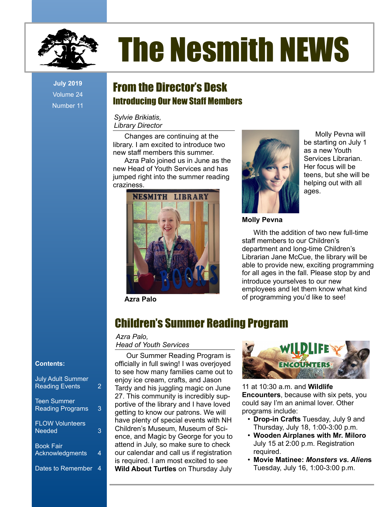

# The Nesmith NEWS

**July 2019** Volume 24 Number 11

## From the Director's Desk Introducing Our New Staff Members

*Sylvie Brikiatis, Library Director*

Changes are continuing at the library. I am excited to introduce two new staff members this summer.

Azra Palo joined us in June as the new Head of Youth Services and has jumped right into the summer reading craziness.



**Azra Palo**



Molly Pevna will be starting on July 1 as a new Youth Services Librarian. Her focus will be teens, but she will be helping out with all ages.

**Molly Pevna**

With the addition of two new full-time staff members to our Children's department and long-time Children's Librarian Jane McCue, the library will be able to provide new, exciting programming for all ages in the fall. Please stop by and introduce yourselves to our new employees and let them know what kind of programming you'd like to see!

# Children's Summer Reading Program

*Azra Palo,*

## *Head of Youth Services*

Our Summer Reading Program is officially in full swing! I was overjoyed to see how many families came out to enjoy ice cream, crafts, and Jason Tardy and his juggling magic on June 27. This community is incredibly supportive of the library and I have loved getting to know our patrons. We will have plenty of special events with NH Children's Museum, Museum of Science, and Magic by George for you to attend in July, so make sure to check our calendar and call us if registration is required. I am most excited to see **Wild About Turtles** on Thursday July



11 at 10:30 a.m. and **Wildlife Encounters**, because with six pets, you could say I'm an animal lover. Other programs include:

- **Drop-in Crafts** Tuesday, July 9 and Thursday, July 18, 1:00-3:00 p.m.
- **Wooden Airplanes with Mr. Miloro** July 15 at 2:00 p.m. Registration required.
- **Movie Matinee:** *Monsters vs. Alien***s** Tuesday, July 16, 1:00-3:00 p.m.

### **Contents:**

| <b>July Adult Summer</b><br><b>Reading Events</b> | 2 |
|---------------------------------------------------|---|
| <b>Teen Summer</b><br><b>Reading Programs</b>     | 3 |
| <b>FLOW Volunteers</b><br><b>Needed</b>           | 3 |
| <b>Book Fair</b><br>Acknowledgments               | 4 |
| <b>Dates to Remember</b>                          | 4 |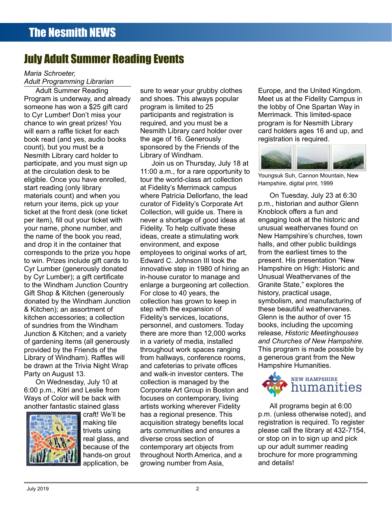# July Adult Summer Reading Events

#### *Maria Schroeter, Adult Programming Librarian*

Adult Summer Reading Program is underway, and already someone has won a \$25 gift card to Cyr Lumber! Don't miss your chance to win great prizes! You will earn a raffle ticket for each book read (and yes, audio books count), but you must be a Nesmith Library card holder to participate, and you must sign up at the circulation desk to be eligible. Once you have enrolled, start reading (only library materials count) and when you return your items, pick up your ticket at the front desk (one ticket per item), fill out your ticket with your name, phone number, and the name of the book you read, and drop it in the container that corresponds to the prize you hope to win. Prizes include gift cards to Cyr Lumber (generously donated by Cyr Lumber); a gift certificate to the Windham Junction Country Gift Shop & Kitchen (generously donated by the Windham Junction & Kitchen); an assortment of kitchen accessories; a collection of sundries from the Windham Junction & Kitchen; and a variety of gardening items (all generously provided by the Friends of the Library of Windham). Raffles will be drawn at the Trivia Night Wrap Party on August 13.

On Wednesday, July 10 at 6:00 p.m., Kitri and Leslie from Ways of Color will be back with another fantastic stained glass



craft! We'll be making tile trivets using real glass, and because of the hands-on grout application, be

sure to wear your grubby clothes and shoes. This always popular program is limited to 25 participants and registration is required, and you must be a Nesmith Library card holder over the age of 16. Generously sponsored by the Friends of the Library of Windham.

Join us on Thursday, July 18 at 11:00 a.m., for a rare opportunity to tour the world-class art collection at Fidelity's Merrimack campus where Patricia Dellorfano, the lead curator of Fidelity's Corporate Art Collection, will guide us. There is never a shortage of good ideas at Fidelity. To help cultivate these ideas, create a stimulating work environment, and expose employees to original works of art, Edward C. Johnson III took the innovative step in 1980 of hiring an in-house curator to manage and enlarge a burgeoning art collection. For close to 40 years, the collection has grown to keep in step with the expansion of Fidelity's services, locations, personnel, and customers. Today there are more than 12,000 works in a variety of media, installed throughout work spaces ranging from hallways, conference rooms, and cafeterias to private offices and walk-in investor centers. The collection is managed by the Corporate Art Group in Boston and focuses on contemporary, living artists working wherever Fidelity has a regional presence. This acquisition strategy benefits local arts communities and ensures a diverse cross section of contemporary art objects from throughout North America, and a growing number from Asia,

Europe, and the United Kingdom. Meet us at the Fidelity Campus in the lobby of One Spartan Way in Merrimack. This limited-space program is for Nesmith Library card holders ages 16 and up, and registration is required.



Youngsuk Suh, Cannon Mountain, New Hampshire, digital print, 1999

On Tuesday, July 23 at 6:30 p.m., historian and author Glenn Knoblock offers a fun and engaging look at the historic and unusual weathervanes found on New Hampshire's churches, town halls, and other public buildings from the earliest times to the present. His presentation "New Hampshire on High: Historic and Unusual Weathervanes of the Granite State," explores the history, practical usage, symbolism, and manufacturing of these beautiful weathervanes. Glenn is the author of over 15 books, including the upcoming release, *Historic Meetinghouses and Churches of New Hampshire.*  This program is made possible by a generous grant from the New Hampshire Humanities.



All programs begin at 6:00 p.m. (unless otherwise noted), and registration is required. To register please call the library at 432-7154, or stop on in to sign up and pick up our adult summer reading brochure for more programming and details!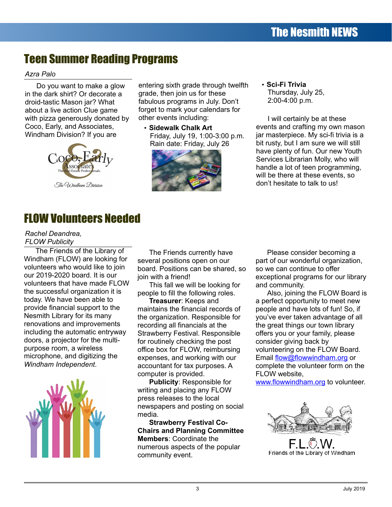# Teen Summer Reading Programs

## *Azra Palo*

Do you want to make a glow in the dark shirt? Or decorate a droid-tastic Mason jar? What about a live action Clue game with pizza generously donated by Coco, Early, and Associates, Windham Division? If you are



The Windham Division

entering sixth grade through twelfth grade, then join us for these fabulous programs in July. Don't forget to mark your calendars for other events including:

• **Sidewalk Chalk Art** Friday, July 19, 1:00-3:00 p.m. Rain date: Friday, July 26



## • **Sci-Fi Trivia** Thursday, July 25, 2:00-4:00 p.m.

I will certainly be at these events and crafting my own mason jar masterpiece. My sci-fi trivia is a bit rusty, but I am sure we will still have plenty of fun. Our new Youth Services Librarian Molly, who will handle a lot of teen programming, will be there at these events, so don't hesitate to talk to us!

# FLOW Volunteers Needed

## *Rachel Deandrea, FLOW Publicity*

The Friends of the Library of Windham (FLOW) are looking for volunteers who would like to join our 2019-2020 board. It is our volunteers that have made FLOW the successful organization it is today. We have been able to provide financial support to the Nesmith Library for its many renovations and improvements including the automatic entryway doors, a projector for the multipurpose room, a wireless microphone, and digitizing the *Windham Independent*.



The Friends currently have several positions open on our board. Positions can be shared, so join with a friend!

This fall we will be looking for people to fill the following roles.

**Treasurer**: Keeps and maintains the financial records of the organization. Responsible for recording all financials at the Strawberry Festival. Responsible for routinely checking the post office box for FLOW, reimbursing expenses, and working with our accountant for tax purposes. A computer is provided.

**Publicity**: Responsible for writing and placing any FLOW press releases to the local newspapers and posting on social media.

**Strawberry Festival Co-Chairs and Planning Committee Members**: Coordinate the numerous aspects of the popular community event.

Please consider becoming a part of our wonderful organization, so we can continue to offer exceptional programs for our library and community.

Also, joining the FLOW Board is a perfect opportunity to meet new people and have lots of fun! So, if you've ever taken advantage of all the great things our town library offers you or your family, please consider giving back by volunteering on the FLOW Board. Email [flow@flowwindham.org](mailto:flow@flowwindham.org) or complete the volunteer form on the FLOW website,

[www.flowwindham.org](http://www.flowwindham.org/) to volunteer.



Friends of the Library of Windham